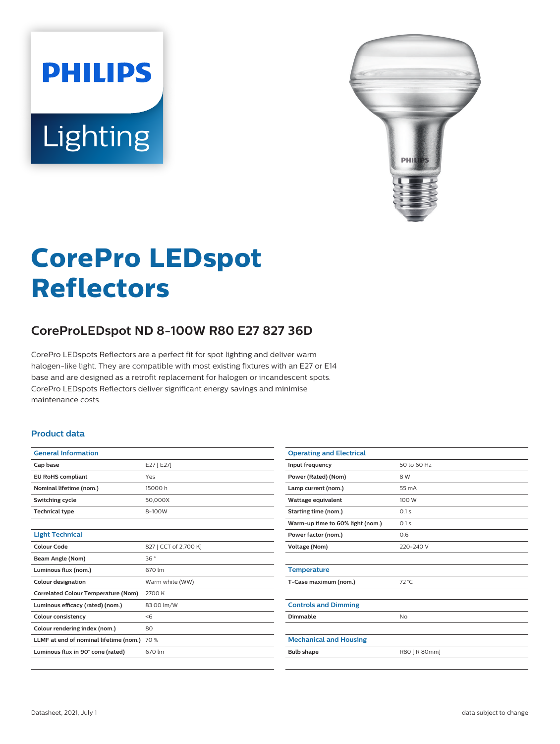# **PHILIPS** Lighting



# **CorePro LEDspot Reflectors**

# **CoreProLEDspot ND 8-100W R80 E27 827 36D**

CorePro LEDspots Reflectors are a perfect fit for spot lighting and deliver warm halogen-like light. They are compatible with most existing fixtures with an E27 or E14 base and are designed as a retrofit replacement for halogen or incandescent spots. CorePro LEDspots Reflectors deliver significant energy savings and minimise maintenance costs.

#### **Product data**

| <b>General Information</b>                 |                       |
|--------------------------------------------|-----------------------|
| Cap base                                   | E27 [ E27]            |
| <b>EU RoHS compliant</b>                   | Yes                   |
| Nominal lifetime (nom.)                    | 15000 h               |
| Switching cycle                            | 50,000X               |
| <b>Technical type</b>                      | 8-100W                |
|                                            |                       |
| <b>Light Technical</b>                     |                       |
| Colour Code                                | 827 [ CCT of 2,700 K] |
| Beam Angle (Nom)                           | 36°                   |
| Luminous flux (nom.)                       | 670 lm                |
| <b>Colour designation</b>                  | Warm white (WW)       |
| <b>Correlated Colour Temperature (Nom)</b> | 2700 K                |
| Luminous efficacy (rated) (nom.)           | 83.00 lm/W            |
| <b>Colour consistency</b>                  | < 6                   |
| Colour rendering index (nom.)              | 80                    |
| LLMF at end of nominal lifetime (nom.)     | 70 %                  |
| Luminous flux in 90° cone (rated)          | 670 lm                |
|                                            |                       |

| <b>Operating and Electrical</b>  |               |
|----------------------------------|---------------|
| Input frequency                  | 50 to 60 Hz   |
| Power (Rated) (Nom)              | 8 W           |
| Lamp current (nom.)              | 55 mA         |
| <b>Wattage equivalent</b>        | 100 W         |
| Starting time (nom.)             | 0.1s          |
| Warm-up time to 60% light (nom.) | 0.1s          |
| Power factor (nom.)              | 0.6           |
| Voltage (Nom)                    | 220-240 V     |
|                                  |               |
| <b>Temperature</b>               |               |
| T-Case maximum (nom.)            | 72 °C         |
|                                  |               |
| <b>Controls and Dimming</b>      |               |
| Dimmable                         | <b>No</b>     |
|                                  |               |
| <b>Mechanical and Housing</b>    |               |
| <b>Bulb shape</b>                | R80 [ R 80mm] |
|                                  |               |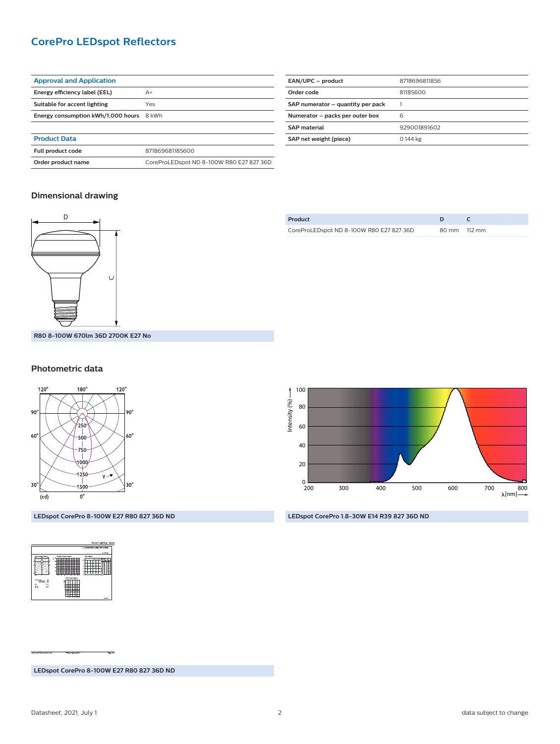# **CorePro LEDspot Reflectors**

| <b>Approval and Application</b>          |                                          |  |
|------------------------------------------|------------------------------------------|--|
| Energy efficiency label (EEL)            | $A+$                                     |  |
| Suitable for accent lighting             | Yes                                      |  |
| Energy consumption kWh/1,000 hours 8 kWh |                                          |  |
|                                          |                                          |  |
| <b>Product Data</b>                      |                                          |  |
| Full product code                        | 871869681185600                          |  |
| Order product name                       | CoreProLEDspot ND 8-100W R80 E27 827 36D |  |

| EAN/UPC - product                 | 8718696811856 |
|-----------------------------------|---------------|
| Order code                        | 81185600      |
| SAP numerator - quantity per pack |               |
| Numerator - packs per outer box   | 6             |
| <b>SAP</b> material               | 929001891602  |
| SAP net weight (piece)            | 0.144 kg      |
|                                   |               |

#### **Dimensional drawing**



| Product                                  |              |
|------------------------------------------|--------------|
| CoreProLEDspot ND 8-100W R80 E27 827 36D | 80 mm 112 mm |

### **Photometric data**



**LEDspot CorePro 8-100W E27 R80 827 36D ND**



**LEDspot CorePro 1.8-30W E14 R39 827 36D ND**

H H

**LEDspot CorePro 8-100W E27 R80 827 36D ND**

100